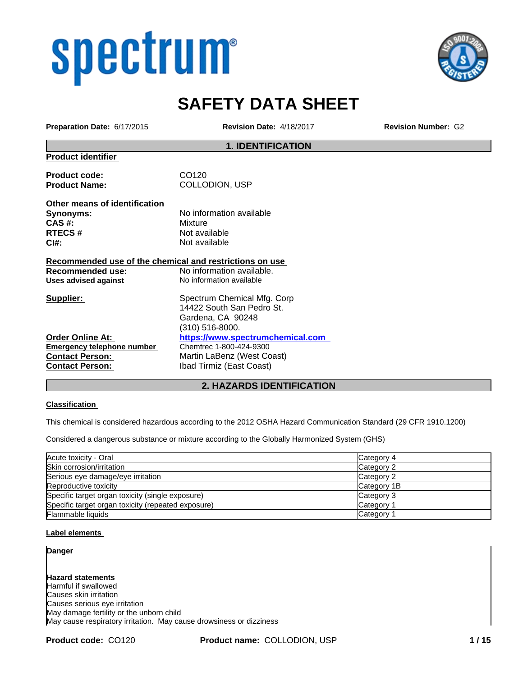# spectrum®



## **SAFETY DATA SHEET**

**Preparation Date:** 6/17/2015 **Revision Date:** 4/18/2017 **Revision Number:** G2

#### **1. IDENTIFICATION**

**Product identifier**

Product code: CO120 **Product Name:** COLLODION, USP

**Other means of identification Synonyms:** No information available **CAS #:** Mixture **RTECS #** Not available **CI#:** Not available

#### **Recommended use of the chemical and restrictions on use**

**Contact Person: Ibad Tirmiz (East Coast)** 

**Recommended use:** No information available.<br>
Uses advised against No information available **Uses advised against** No information available **Supplier:** Spectrum Chemical Mfg. Corp 14422 South San Pedro St. Gardena, CA 90248 (310) 516-8000. **Order Online At:** https://www.spectrumchemical.com<br>
Emergency telephone number Chemtrec 1-800-424-9300 **Emergency telephone number Contact Person:** Martin LaBenz (West Coast)

#### **2. HAZARDS IDENTIFICATION**

#### **Classification**

This chemical is considered hazardous according to the 2012 OSHA Hazard Communication Standard (29 CFR 1910.1200)

Considered a dangerous substance or mixture according to the Globally Harmonized System (GHS)

| Acute toxicity - Oral                              | Category 4            |
|----------------------------------------------------|-----------------------|
| Skin corrosion/irritation                          | Category 2            |
| Serious eye damage/eye irritation                  | Category 2            |
| Reproductive toxicity                              | Category 1B           |
| Specific target organ toxicity (single exposure)   | Category 3            |
| Specific target organ toxicity (repeated exposure) | Category <sup>2</sup> |
| <b>Flammable liquids</b>                           | Category              |

#### **Label elements**

#### **Danger**

**Hazard statements** Harmful if swallowed Causes skin irritation Causes serious eye irritation May damage fertility or the unborn child May cause respiratory irritation. May cause drowsiness or dizziness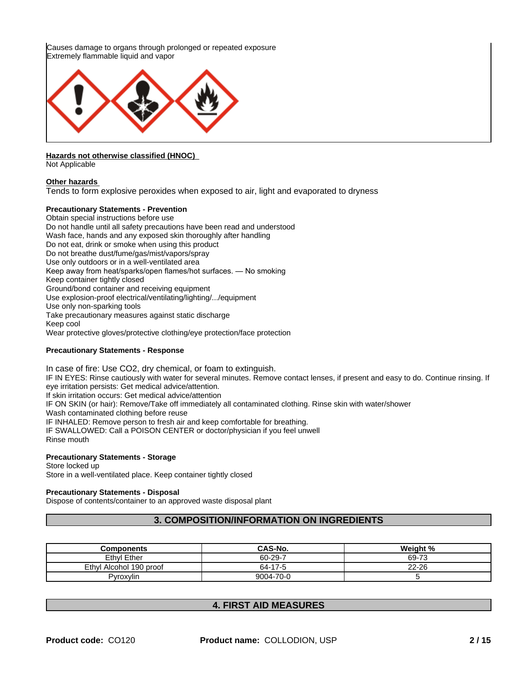Causes damage to organs through prolonged or repeated exposure Extremely flammable liquid and vapor



#### **Hazards not otherwise classified (HNOC)**

Not Applicable

#### **Other hazards**

Tends to form explosive peroxides when exposed to air, light and evaporated to dryness

#### **Precautionary Statements - Prevention**

Obtain special instructions before use Do not handle until all safety precautions have been read and understood Wash face, hands and any exposed skin thoroughly after handling Do not eat, drink or smoke when using this product Do not breathe dust/fume/gas/mist/vapors/spray Use only outdoors or in a well-ventilated area Keep away from heat/sparks/open flames/hot surfaces. — No smoking Keep container tightly closed Ground/bond container and receiving equipment Use explosion-proof electrical/ventilating/lighting/.../equipment Use only non-sparking tools Take precautionary measures against static discharge Keep cool Wear protective gloves/protective clothing/eye protection/face protection

#### **Precautionary Statements - Response**

In case of fire: Use CO2, dry chemical, or foam to extinguish. IF IN EYES: Rinse cautiously with water for several minutes. Remove contact lenses, if present and easy to do. Continue rinsing. If eye irritation persists: Get medical advice/attention. If skin irritation occurs: Get medical advice/attention IF ON SKIN (or hair): Remove/Take off immediately all contaminated clothing. Rinse skin with water/shower Wash contaminated clothing before reuse IF INHALED: Remove person to fresh air and keep comfortable for breathing. IF SWALLOWED: Call a POISON CENTER or doctor/physician if you feel unwell Rinse mouth

#### **Precautionary Statements - Storage**

Store locked up Store in a well-ventilated place. Keep container tightly closed

#### **Precautionary Statements - Disposal**

Dispose of contents/container to an approved waste disposal plant

#### **3. COMPOSITION/INFORMATION ON INGREDIENTS**

| <b>Components</b>       | CAS-No.   | Weight %  |
|-------------------------|-----------|-----------|
| Ethyl Ether             | 60-29-7   | 69-73     |
| Ethyl Alcohol 190 proof | 64-17-5   | $22 - 26$ |
| Pvroxvlin               | 9004-70-0 |           |

#### **4. FIRST AID MEASURES**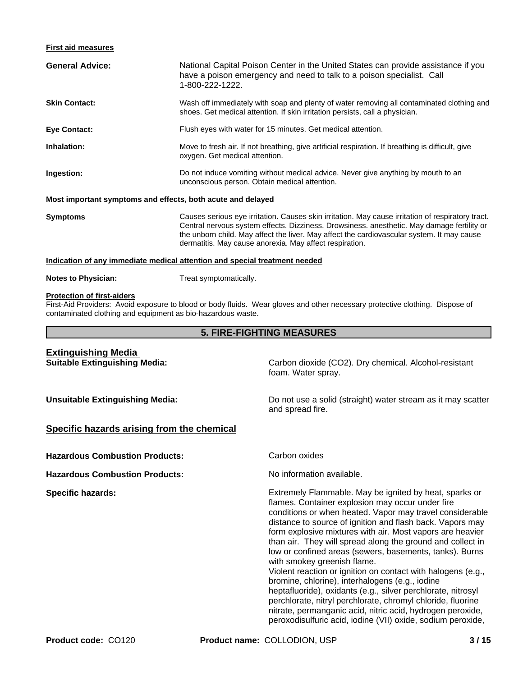#### **First aid measures**

| <b>General Advice:</b>                                      | National Capital Poison Center in the United States can provide assistance if you<br>have a poison emergency and need to talk to a poison specialist. Call<br>1-800-222-1222.                                                                                                                                                                            |
|-------------------------------------------------------------|----------------------------------------------------------------------------------------------------------------------------------------------------------------------------------------------------------------------------------------------------------------------------------------------------------------------------------------------------------|
| <b>Skin Contact:</b>                                        | Wash off immediately with soap and plenty of water removing all contaminated clothing and<br>shoes. Get medical attention. If skin irritation persists, call a physician.                                                                                                                                                                                |
| <b>Eye Contact:</b>                                         | Flush eyes with water for 15 minutes. Get medical attention.                                                                                                                                                                                                                                                                                             |
| Inhalation:                                                 | Move to fresh air. If not breathing, give artificial respiration. If breathing is difficult, give<br>oxygen. Get medical attention.                                                                                                                                                                                                                      |
| Ingestion:                                                  | Do not induce vomiting without medical advice. Never give anything by mouth to an<br>unconscious person. Obtain medical attention.                                                                                                                                                                                                                       |
| Most important symptoms and effects, both acute and delayed |                                                                                                                                                                                                                                                                                                                                                          |
| <b>Symptoms</b>                                             | Causes serious eye irritation. Causes skin irritation. May cause irritation of respiratory tract.<br>Central nervous system effects. Dizziness. Drowsiness. anesthetic. May damage fertility or<br>the unborn child. May affect the liver. May affect the cardiovascular system. It may cause<br>dermatitis. May cause anorexia. May affect respiration. |
|                                                             | Indication of any immediate medical attention and special treatment needed                                                                                                                                                                                                                                                                               |
| <b>Notes to Physician:</b>                                  | Treat symptomatically.                                                                                                                                                                                                                                                                                                                                   |

### **Protection of first-aiders**

First-Aid Providers: Avoid exposure to blood or body fluids. Wear gloves and other necessary protective clothing. Dispose of contaminated clothing and equipment as bio-hazardous waste.

#### **5. FIRE-FIGHTING MEASURES**

## **Extinguishing Media**

**Suitable Extinguishing Media:** Carbon dioxide (CO2). Dry chemical. Alcohol-resistant foam. Water spray.

**Unsuitable Extinguishing Media:** Do not use a solid (straight) water stream as it may scatter and spread fire.

#### **Specific hazards arising from the chemical**

**Hazardous Combustion Products:** Carbon oxides

**Hazardous Combustion Products:** No information available.

**Specific hazards:** Extremely Flammable. May be ignited by heat, sparks or flames. Container explosion may occur under fire conditions or when heated. Vapor may travel considerable distance to source of ignition and flash back. Vapors may form explosive mixtures with air. Most vapors are heavier than air. They will spread along the ground and collect in low or confined areas (sewers, basements, tanks). Burns with smokey greenish flame. Violent reaction or ignition on contact with halogens (e.g., bromine, chlorine), interhalogens (e.g., iodine heptafluoride), oxidants (e.g., silver perchlorate, nitrosyl perchlorate, nitryl perchlorate, chromyl chloride, fluorine nitrate, permanganic acid, nitric acid, hydrogen peroxide, peroxodisulfuric acid, iodine (VII) oxide, sodium peroxide,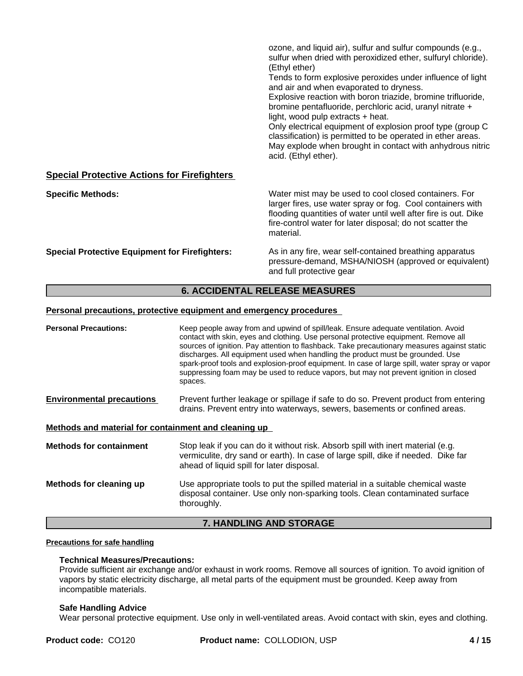|                                                       | ozone, and liquid air), sulfur and sulfur compounds (e.g.,<br>sulfur when dried with peroxidized ether, sulfuryl chloride).<br>(Ethyl ether)<br>Tends to form explosive peroxides under influence of light<br>and air and when evaporated to dryness.<br>Explosive reaction with boron triazide, bromine trifluoride,<br>bromine pentafluoride, perchloric acid, uranyl nitrate +<br>light, wood pulp extracts + heat.<br>Only electrical equipment of explosion proof type (group C<br>classification) is permitted to be operated in ether areas.<br>May explode when brought in contact with anhydrous nitric<br>acid. (Ethyl ether). |
|-------------------------------------------------------|------------------------------------------------------------------------------------------------------------------------------------------------------------------------------------------------------------------------------------------------------------------------------------------------------------------------------------------------------------------------------------------------------------------------------------------------------------------------------------------------------------------------------------------------------------------------------------------------------------------------------------------|
| <b>Special Protective Actions for Firefighters</b>    |                                                                                                                                                                                                                                                                                                                                                                                                                                                                                                                                                                                                                                          |
| <b>Specific Methods:</b>                              | Water mist may be used to cool closed containers. For<br>larger fires, use water spray or fog. Cool containers with<br>flooding quantities of water until well after fire is out. Dike<br>fire-control water for later disposal; do not scatter the<br>material.                                                                                                                                                                                                                                                                                                                                                                         |
| <b>Special Protective Equipment for Firefighters:</b> | As in any fire, wear self-contained breathing apparatus<br>pressure-demand, MSHA/NIOSH (approved or equivalent)<br>and full protective gear                                                                                                                                                                                                                                                                                                                                                                                                                                                                                              |

#### **6. ACCIDENTAL RELEASE MEASURES**

#### **Personal precautions, protective equipment and emergency procedures**

| <b>Personal Precautions:</b>                         | Keep people away from and upwind of spill/leak. Ensure adequate ventilation. Avoid<br>contact with skin, eyes and clothing. Use personal protective equipment. Remove all<br>sources of ignition. Pay attention to flashback. Take precautionary measures against static<br>discharges. All equipment used when handling the product must be grounded. Use<br>spark-proof tools and explosion-proof equipment. In case of large spill, water spray or vapor<br>suppressing foam may be used to reduce vapors, but may not prevent ignition in closed<br>spaces. |  |
|------------------------------------------------------|-----------------------------------------------------------------------------------------------------------------------------------------------------------------------------------------------------------------------------------------------------------------------------------------------------------------------------------------------------------------------------------------------------------------------------------------------------------------------------------------------------------------------------------------------------------------|--|
| <b>Environmental precautions</b>                     | Prevent further leakage or spillage if safe to do so. Prevent product from entering<br>drains. Prevent entry into waterways, sewers, basements or confined areas.                                                                                                                                                                                                                                                                                                                                                                                               |  |
| Methods and material for containment and cleaning up |                                                                                                                                                                                                                                                                                                                                                                                                                                                                                                                                                                 |  |
| <b>Methods for containment</b>                       | Stop leak if you can do it without risk. Absorb spill with inert material (e.g.<br>vermiculite, dry sand or earth). In case of large spill, dike if needed. Dike far<br>ahead of liquid spill for later disposal.                                                                                                                                                                                                                                                                                                                                               |  |
| Methods for cleaning up                              | Use appropriate tools to put the spilled material in a suitable chemical waste<br>disposal container. Use only non-sparking tools. Clean contaminated surface<br>thoroughly.                                                                                                                                                                                                                                                                                                                                                                                    |  |
|                                                      | <b>7. HANDLING AND STORAGE</b>                                                                                                                                                                                                                                                                                                                                                                                                                                                                                                                                  |  |

#### **Precautions for safe handling**

#### **Technical Measures/Precautions:**

Provide sufficient air exchange and/or exhaust in work rooms. Remove all sources of ignition. To avoid ignition of vapors by static electricity discharge, all metal parts of the equipment must be grounded. Keep away from incompatible materials.

#### **Safe Handling Advice**

Wear personal protective equipment. Use only in well-ventilated areas. Avoid contact with skin, eyes and clothing.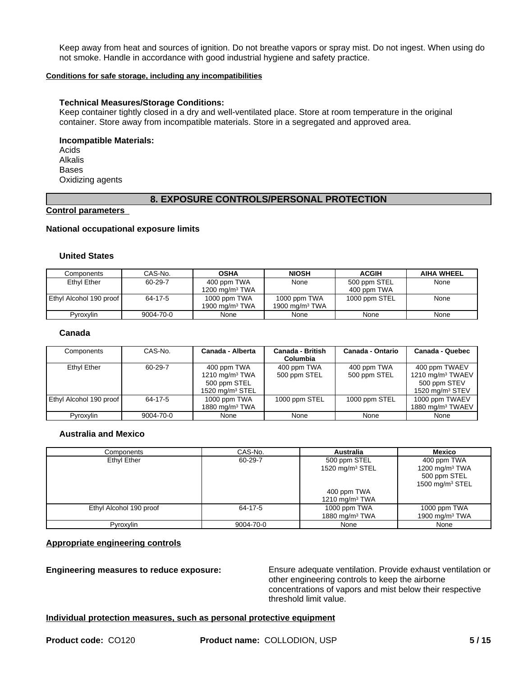Keep away from heat and sources of ignition. Do not breathe vapors or spray mist. Do not ingest. When using do not smoke. Handle in accordance with good industrial hygiene and safety practice.

#### **Conditions for safe storage, including any incompatibilities**

#### **Technical Measures/Storage Conditions:**

Keep container tightly closed in a dry and well-ventilated place. Store at room temperature in the original container. Store away from incompatible materials. Store in a segregated and approved area.

#### **Incompatible Materials:**

Acids Alkalis Bases Oxidizing agents

#### **8. EXPOSURE CONTROLS/PERSONAL PROTECTION**

**Control parameters** 

#### **National occupational exposure limits**

#### **United States**

| Components              | CAS-No.   | <b>OSHA</b>       | <b>NIOSH</b>      | <b>ACGIH</b>  | <b>AIHA WHEEL</b> |
|-------------------------|-----------|-------------------|-------------------|---------------|-------------------|
| Ethyl Ether             | 60-29-7   | 400 ppm TWA       | None              | 500 ppm STEL  | None              |
|                         |           | 1200 mg/m $3$ TWA |                   | 400 ppm TWA   |                   |
| Ethyl Alcohol 190 proof | 64-17-5   | 1000 ppm TWA      | 1000 ppm TWA      | 1000 ppm STEL | None              |
|                         |           | 1900 mg/m $3$ TWA | 1900 mg/m $3$ TWA |               |                   |
| <b>Pyroxylin</b>        | 9004-70-0 | None              | None              | None          | None              |

#### **Canada**

| Components              | CAS-No.   | Canada - Alberta                                                       | <b>Canada - British</b><br>Columbia | Canada - Ontario            | Canada - Quebec                                                                     |
|-------------------------|-----------|------------------------------------------------------------------------|-------------------------------------|-----------------------------|-------------------------------------------------------------------------------------|
| Ethyl Ether             | 60-29-7   | 400 ppm TWA<br>1210 mg/m $3$ TWA<br>500 ppm STEL<br>1520 mg/m $3$ STEL | 400 ppm TWA<br>500 ppm STEL         | 400 ppm TWA<br>500 ppm STEL | 400 ppm TWAEV<br>1210 mg/m <sup>3</sup> TWAEV<br>500 ppm STEV<br>1520 mg/m $3$ STEV |
| Ethyl Alcohol 190 proof | 64-17-5   | 1000 ppm TWA<br>1880 mg/m $3$ TWA                                      | 1000 ppm STEL                       | 1000 ppm STEL               | 1000 ppm TWAEV<br>1880 mg/m <sup>3</sup> TWAEV                                      |
| Pyroxylin               | 9004-70-0 | None                                                                   | None                                | None                        | None                                                                                |

#### **Australia and Mexico**

| Components              | CAS-No.   | <b>Australia</b>                   | Mexico                                                                 |
|-------------------------|-----------|------------------------------------|------------------------------------------------------------------------|
| Ethyl Ether             | 60-29-7   | 500 ppm STEL<br>1520 mg/m $3$ STEL | 400 ppm TWA<br>1200 mg/m $3$ TWA<br>500 ppm STEL<br>1500 mg/m $3$ STEL |
|                         |           | 400 ppm TWA<br>1210 mg/m $3$ TWA   |                                                                        |
| Ethyl Alcohol 190 proof | 64-17-5   | 1000 ppm TWA<br>1880 mg/m $3$ TWA  | 1000 ppm TWA<br>1900 mg/m $3$ TWA                                      |
| Pyroxylin               | 9004-70-0 | None                               | None                                                                   |

#### **Appropriate engineering controls**

**Engineering measures to reduce exposure:** Ensure adequate ventilation. Provide exhaust ventilation or other engineering controls to keep the airborne concentrations of vapors and mist below their respective threshold limit value.

**Individual protection measures, such as personal protective equipment**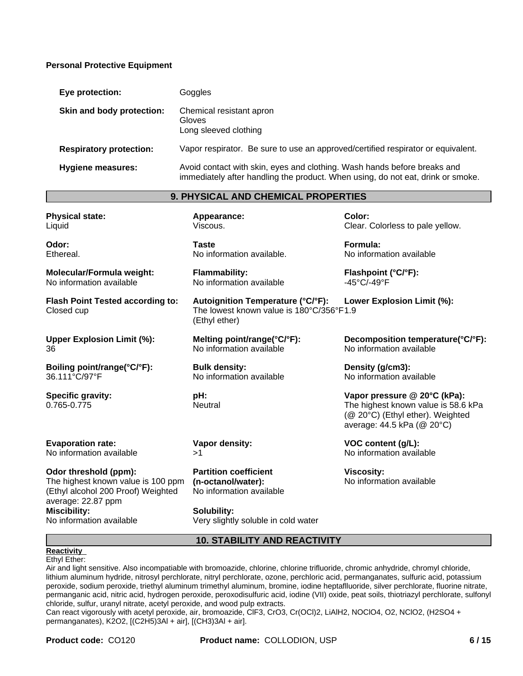#### **Personal Protective Equipment**

| Eye protection:                | Goggles                                                                                                                                                     |
|--------------------------------|-------------------------------------------------------------------------------------------------------------------------------------------------------------|
| Skin and body protection:      | Chemical resistant apron<br>Gloves<br>Long sleeved clothing                                                                                                 |
| <b>Respiratory protection:</b> | Vapor respirator. Be sure to use an approved/certified respirator or equivalent.                                                                            |
| <b>Hygiene measures:</b>       | Avoid contact with skin, eyes and clothing. Wash hands before breaks and<br>immediately after handling the product. When using, do not eat, drink or smoke. |

#### **9. PHYSICAL AND CHEMICAL PROPERTIES**

**Appearance:** Viscous.

**Flammability:**

(Ethyl ether)

**Bulk density:**

**pH: Neutral** 

No information available

**Melting point/range(°C/°F):** No information available

No information available

**Taste**

| <b>Physical state:</b> |  |
|------------------------|--|
| Liquid                 |  |

**Odor:** Ethereal.

**Molecular/Formula weight:** No information available

**Flash Point Tested according to:** Closed cup

**Upper Explosion Limit (%):** 36

**Boiling point/range(°C/°F):** 36.111°C/97°F

**Specific gravity:** 0.765-0.775

**Evaporation rate:** No information available

**Odor threshold (ppm):** The highest known value is 100 ppm (Ethyl alcohol 200 Proof) Weighted average: 22.87 ppm **Miscibility:** No information available

 $>1$  and  $\sim$  1.1 and  $\sim$  1.1 and  $\sim$  1.1 and  $\sim$  1.1 and  $\sim$  1.1 and  $\sim$  1.1 and  $\sim$  1.1 and  $\sim$  1.1 and  $\sim$  1.1 and  $\sim$  1.1 and  $\sim$  1.1 and  $\sim$  1.1 and  $\sim$  1.1 and  $\sim$  1.1 and  $\sim$  1.1 and  $\sim$  1.1 and  $\sim$ **Partition coefficient**

**Vapor density:**

**(n-octanol/water):** No information available

**Solubility:** Very slightly soluble in cold water

**Color:** Clear. Colorless to pale yellow.

**Taste Formula:**<br>No information available. **Formula:** No informa No information available

> **Flashpoint (°C/°F):** -45°C/-49°F

**Autoignition Temperature (°C/°F):** The lowest known value is 180°C/356°F 1.9 **Lower Explosion Limit (%):**

> **Decomposition temperature(°C/°F):** No information available

**Density (g/cm3):** No information available

**Vapor pressure @ 20°C (kPa):** The highest known value is 58.6 kPa (@ 20°C) (Ethyl ether). Weighted average: 44.5 kPa (@ 20°C)

**VOC content (g/L):** No information available

**Viscosity:** No information available

**10. STABILITY AND REACTIVITY**

#### **Reactivity**

Ethyl Ether:

Air and light sensitive. Also incompatiable with bromoazide, chlorine, chlorine trifluoride, chromic anhydride, chromyl chloride, lithium aluminum hydride, nitrosyl perchlorate, nitryl perchlorate, ozone, perchloric acid, permanganates, sulfuric acid, potassium peroxide, sodium peroxide, triethyl aluminum trimethyl aluminum, bromine, iodine heptaflluoride, silver perchlorate, fluorine nitrate, permanganic acid, nitric acid, hydrogen peroxide, peroxodisulfuric acid, iodine (VII) oxide, peat soils, thiotriazyl perchlorate, sulfonyl chloride, sulfur, uranyl nitrate, acetyl peroxide, and wood pulp extracts.

Can react vigorously with acetyl peroxide, air, bromoazide, ClF3, CrO3, Cr(OCl)2, LiAlH2, NOClO4, O2, NClO2, (H2SO4 + permanganates), K2O2, [(C2H5)3Al + air], [(CH3)3Al + air].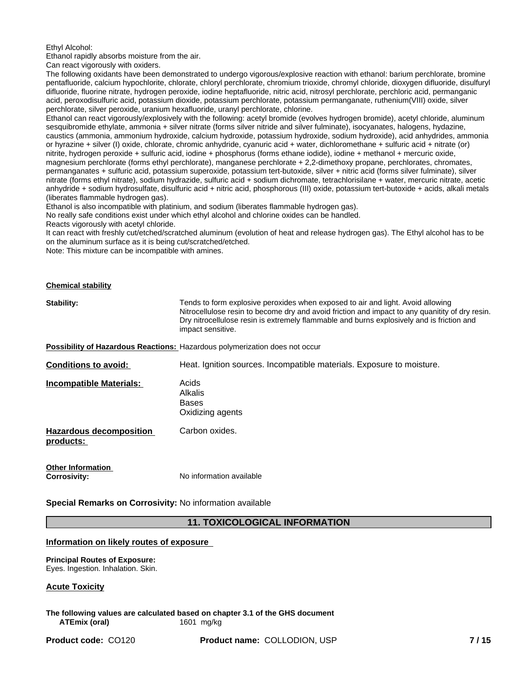#### Ethyl Alcohol:

Ethanol rapidly absorbs moisture from the air.

Can react vigorously with oxiders.

The following oxidants have been demonstrated to undergo vigorous/explosive reaction with ethanol: barium perchlorate, bromine pentafluoride, calcium hypochlorite, chlorate, chloryl perchlorate, chromium trioxide, chromyl chloride, dioxygen difluoride, disulfuryl difluoride, fluorine nitrate, hydrogen peroxide, iodine heptafluoride, nitric acid, nitrosyl perchlorate, perchloric acid, permanganic acid, peroxodisulfuric acid, potassium dioxide, potassium perchlorate, potassium permanganate, ruthenium(VIII) oxide, silver perchlorate, silver peroxide, uranium hexafluoride, uranyl perchlorate, chlorine.

Ethanol can react vigorously/explosively with the following: acetyl bromide (evolves hydrogen bromide), acetyl chloride, aluminum sesquibromide ethylate, ammonia + silver nitrate (forms silver nitride and silver fulminate), isocyanates, halogens, hydazine, caustics (ammonia, ammonium hydroxide, calcium hydroxide, potassium hydroxide, sodium hydroxide), acid anhydrides, ammonia or hyrazine + silver (I) oxide, chlorate, chromic anhydride, cyanuric acid + water, dichloromethane + sulfuric acid + nitrate (or) nitrite, hydrogen peroxide + sulfuric acid, iodine + phosphorus (forms ethane iodide), iodine + methanol + mercuric oxide, magnesium perchlorate (forms ethyl perchlorate), manganese perchlorate + 2,2-dimethoxy propane, perchlorates, chromates, permanganates + sulfuric acid, potassium superoxide, potassium tert-butoxide, silver + nitric acid (forms silver fulminate), silver nitrate (forms ethyl nitrate), sodium hydrazide, sulfuric acid + sodium dichromate, tetrachlorisilane + water, mercuric nitrate, acetic anhydride + sodium hydrosulfate, disulfuric acid + nitric acid, phosphorous (III) oxide, potassium tert-butoxide + acids, alkali metals (liberates flammable hydrogen gas).

Ethanol is also incompatible with platinium, and sodium (liberates flammable hydrogen gas).

No really safe conditions exist under which ethyl alcohol and chlorine oxides can be handled.

Reacts vigorously with acetyl chloride.

It can react with freshly cut/etched/scratched aluminum (evolution of heat and release hydrogen gas). The Ethyl alcohol has to be on the aluminum surface as it is being cut/scratched/etched.

Note: This mixture can be incompatible with amines.

| <b>Chemical stability</b>                       |                                                                                                                                                                                                                                                                                                      |
|-------------------------------------------------|------------------------------------------------------------------------------------------------------------------------------------------------------------------------------------------------------------------------------------------------------------------------------------------------------|
| Stability:                                      | Tends to form explosive peroxides when exposed to air and light. Avoid allowing<br>Nitrocellulose resin to become dry and avoid friction and impact to any quanitity of dry resin.<br>Dry nitrocellulose resin is extremely flammable and burns explosively and is friction and<br>impact sensitive. |
|                                                 | Possibility of Hazardous Reactions: Hazardous polymerization does not occur                                                                                                                                                                                                                          |
| <b>Conditions to avoid:</b>                     | Heat. Ignition sources. Incompatible materials. Exposure to moisture.                                                                                                                                                                                                                                |
| <b>Incompatible Materials:</b>                  | Acids<br>Alkalis<br><b>Bases</b><br>Oxidizing agents                                                                                                                                                                                                                                                 |
| <b>Hazardous decomposition</b><br>products:     | Carbon oxides.                                                                                                                                                                                                                                                                                       |
| <b>Other Information</b><br><b>Corrosivity:</b> | No information available                                                                                                                                                                                                                                                                             |

**Special Remarks on Corrosivity:** No information available

#### **11. TOXICOLOGICAL INFORMATION**

#### **Information on likely routes of exposure**

**Principal Routes of Exposure:** Eyes. Ingestion. Inhalation. Skin.

#### **Acute Toxicity**

**The following values are calculated based on chapter 3.1 of the GHS document ATEmix (oral)** 1601 mg/kg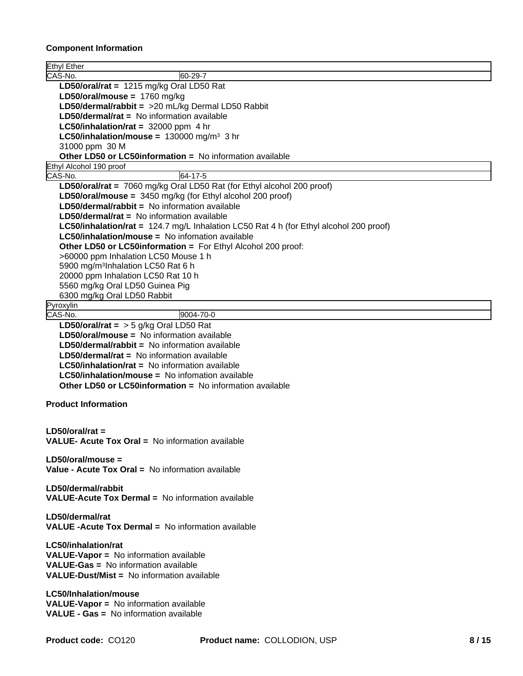#### **Component Information**

| Ethyl Ether                                                                                  |
|----------------------------------------------------------------------------------------------|
| CAS-No.<br>60-29-7                                                                           |
| LD50/oral/rat = $1215$ mg/kg Oral LD50 Rat                                                   |
| LD50/oral/mouse = $1760$ mg/kg                                                               |
| LD50/dermal/rabbit = >20 mL/kg Dermal LD50 Rabbit                                            |
| LD50/dermal/rat = No information available                                                   |
| LC50/inhalation/rat = $32000$ ppm 4 hr                                                       |
| <b>LC50/inhalation/mouse = 130000 mg/m<sup>3</sup> 3 hr</b>                                  |
| 31000 ppm 30 M                                                                               |
| Other LD50 or LC50information = No information available                                     |
| Ethyl Alcohol 190 proof                                                                      |
| 64-17-5<br>CAS-No.                                                                           |
| LD50/oral/rat = 7060 mg/kg Oral LD50 Rat (for Ethyl alcohol 200 proof)                       |
|                                                                                              |
| LD50/oral/mouse = $3450$ mg/kg (for Ethyl alcohol 200 proof)                                 |
| LD50/dermal/rabbit = No information available                                                |
| $LD50/\text{dermal/rat}$ = No information available                                          |
| LC50/inhalation/rat = 124.7 mg/L Inhalation LC50 Rat 4 h (for Ethyl alcohol 200 proof)       |
| <b>LC50/inhalation/mouse = No infomation available</b>                                       |
| Other LD50 or LC50information = For Ethyl Alcohol 200 proof:                                 |
| >60000 ppm Inhalation LC50 Mouse 1 h                                                         |
| 5900 mg/m <sup>3</sup> Inhalation LC50 Rat 6 h                                               |
| 20000 ppm Inhalation LC50 Rat 10 h                                                           |
| 5560 mg/kg Oral LD50 Guinea Pig                                                              |
| 6300 mg/kg Oral LD50 Rabbit                                                                  |
| Pyroxylin                                                                                    |
| CAS-No.<br>9004-70-0                                                                         |
| LD50/oral/rat = $>$ 5 g/kg Oral LD50 Rat                                                     |
| LD50/oral/mouse = No information available                                                   |
| <b>LD50/dermal/rabbit = No information available</b>                                         |
| $LD50/\text{dermal/rat}$ = No information available                                          |
| <b>LC50/inhalation/rat = No information available</b>                                        |
| <b>LC50/inhalation/mouse = No infomation available</b>                                       |
|                                                                                              |
| <b>Other LD50 or LC50information = No information available</b>                              |
|                                                                                              |
| <b>Product Information</b>                                                                   |
|                                                                                              |
| $LD50/oral/rat =$                                                                            |
| <b>VALUE- Acute Tox Oral = No information available</b>                                      |
|                                                                                              |
| $LD50/oral/mouse =$                                                                          |
| Value - Acute Tox Oral = No information available                                            |
|                                                                                              |
| LD50/dermal/rabbit                                                                           |
| <b>VALUE-Acute Tox Dermal = No information available</b>                                     |
|                                                                                              |
| LD50/dermal/rat                                                                              |
| <b>VALUE -Acute Tox Dermal = No information available</b>                                    |
|                                                                                              |
| <b>LC50/inhalation/rat</b>                                                                   |
|                                                                                              |
| <b>VALUE-Vapor = No information available</b><br><b>VALUE-Gas = No information available</b> |
|                                                                                              |
|                                                                                              |
| <b>VALUE-Dust/Mist = No information available</b>                                            |
|                                                                                              |
| LC50/Inhalation/mouse                                                                        |
| <b>VALUE-Vapor = No information available</b>                                                |
| <b>VALUE - Gas = No information available</b>                                                |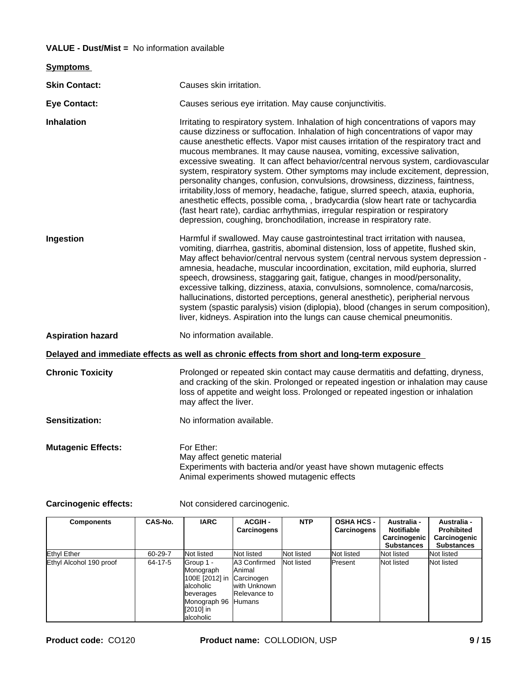#### **VALUE - Dust/Mist =** No information available

| <b>Symptoms</b>           |                                                                                                                                                                                                                                                                                                                                                                                                                                                                                                                                                                                                                                                                                                                                                                                                                                                                                                                                 |
|---------------------------|---------------------------------------------------------------------------------------------------------------------------------------------------------------------------------------------------------------------------------------------------------------------------------------------------------------------------------------------------------------------------------------------------------------------------------------------------------------------------------------------------------------------------------------------------------------------------------------------------------------------------------------------------------------------------------------------------------------------------------------------------------------------------------------------------------------------------------------------------------------------------------------------------------------------------------|
| <b>Skin Contact:</b>      | Causes skin irritation.                                                                                                                                                                                                                                                                                                                                                                                                                                                                                                                                                                                                                                                                                                                                                                                                                                                                                                         |
| <b>Eye Contact:</b>       | Causes serious eye irritation. May cause conjunctivitis.                                                                                                                                                                                                                                                                                                                                                                                                                                                                                                                                                                                                                                                                                                                                                                                                                                                                        |
| Inhalation                | Irritating to respiratory system. Inhalation of high concentrations of vapors may<br>cause dizziness or suffocation. Inhalation of high concentrations of vapor may<br>cause anesthetic effects. Vapor mist causes irritation of the respiratory tract and<br>mucous membranes. It may cause nausea, vomiting, excessive salivation,<br>excessive sweating. It can affect behavior/central nervous system, cardiovascular<br>system, respiratory system. Other symptoms may include excitement, depression,<br>personality changes, confusion, convulsions, drowsiness, dizziness, faintness,<br>irritability, loss of memory, headache, fatigue, slurred speech, ataxia, euphoria,<br>anesthetic effects, possible coma, , bradycardia (slow heart rate or tachycardia<br>(fast heart rate), cardiac arrhythmias, irregular respiration or respiratory<br>depression, coughing, bronchodilation, increase in respiratory rate. |
| Ingestion                 | Harmful if swallowed. May cause gastrointestinal tract irritation with nausea,<br>vomiting, diarrhea, gastritis, abominal distension, loss of appetite, flushed skin,<br>May affect behavior/central nervous system (central nervous system depression -<br>amnesia, headache, muscular incoordination, excitation, mild euphoria, slurred<br>speech, drowsiness, staggaring gait, fatigue, changes in mood/personality,<br>excessive talking, dizziness, ataxia, convulsions, somnolence, coma/narcosis,<br>hallucinations, distorted perceptions, general anesthetic), peripherial nervous<br>system (spastic paralysis) vision (diplopia), blood (changes in serum composition),<br>liver, kidneys. Aspiration into the lungs can cause chemical pneumonitis.                                                                                                                                                                |
| <b>Aspiration hazard</b>  | No information available.                                                                                                                                                                                                                                                                                                                                                                                                                                                                                                                                                                                                                                                                                                                                                                                                                                                                                                       |
|                           | Delayed and immediate effects as well as chronic effects from short and long-term exposure                                                                                                                                                                                                                                                                                                                                                                                                                                                                                                                                                                                                                                                                                                                                                                                                                                      |
| <b>Chronic Toxicity</b>   | Prolonged or repeated skin contact may cause dermatitis and defatting, dryness,<br>and cracking of the skin. Prolonged or repeated ingestion or inhalation may cause<br>loss of appetite and weight loss. Prolonged or repeated ingestion or inhalation<br>may affect the liver.                                                                                                                                                                                                                                                                                                                                                                                                                                                                                                                                                                                                                                                |
| <b>Sensitization:</b>     | No information available.                                                                                                                                                                                                                                                                                                                                                                                                                                                                                                                                                                                                                                                                                                                                                                                                                                                                                                       |
| <b>Mutagenic Effects:</b> | For Ether:<br>May affect genetic material<br>Experiments with bacteria and/or yeast have shown mutagenic effects<br>Animal experiments showed mutagenic effects                                                                                                                                                                                                                                                                                                                                                                                                                                                                                                                                                                                                                                                                                                                                                                 |

Carcinogenic effects: Not considered carcinogenic.

| <b>Components</b>       | CAS-No. | <b>IARC</b>                                                                                                                     | <b>ACGIH -</b><br><b>Carcinogens</b>                                         | <b>NTP</b> | <b>OSHA HCS -</b><br>Carcinogens | Australia -<br>Notifiable<br>Carcinogenic<br><b>Substances</b> | Australia -<br><b>Prohibited</b><br>Carcinogenic<br><b>Substances</b> |
|-------------------------|---------|---------------------------------------------------------------------------------------------------------------------------------|------------------------------------------------------------------------------|------------|----------------------------------|----------------------------------------------------------------|-----------------------------------------------------------------------|
| Ethyl Ether             | 60-29-7 | Not listed                                                                                                                      | Not listed                                                                   | Not listed | Not listed                       | Not listed                                                     | Not listed                                                            |
| Ethyl Alcohol 190 proof | 64-17-5 | Group 1 -<br>Monograph<br>100E [2012] in Carcinogen<br>lalcoholic<br>beverages<br>Monograph 96 Humans<br>[2010] in<br>alcoholic | <b>JA3 Confirmed</b><br><b>Animal</b><br>with Unknown<br><b>Relevance to</b> | Not listed | <b>IPresent</b>                  | Not listed                                                     | Not listed                                                            |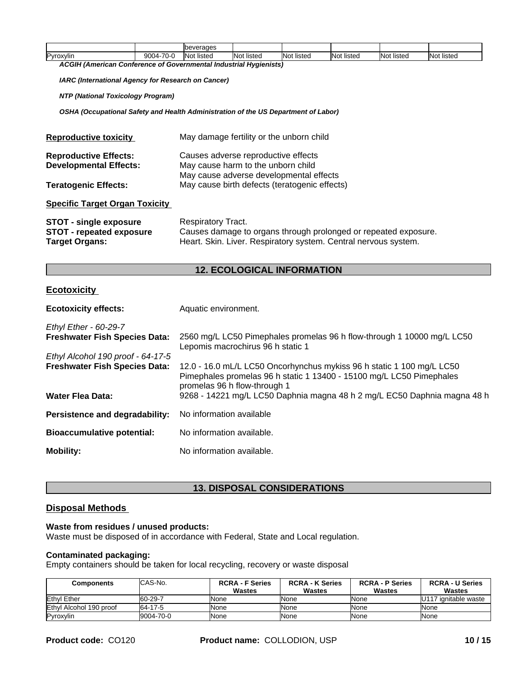|            |                                       | <b>Ibeverages</b>     |                                    |                           |                       |                                  |            |
|------------|---------------------------------------|-----------------------|------------------------------------|---------------------------|-----------------------|----------------------------------|------------|
| IPvroxvlin | 70-0<br>nnn.<br>*м.<br>$\cdots$<br>UU | . .<br>listed<br>'Not | $\cdots$<br><b>Not</b><br>t listec | .<br>lot listed<br>- INO. | listed<br><b>INot</b> | $\cdots$<br><b>Not</b><br>listeo | Not listed |

*ACGIH (American Conference of Governmental Industrial Hygienists)*

*IARC (International Agency for Research on Cancer)*

*NTP (National Toxicology Program)*

*OSHA (Occupational Safety and Health Administration of the US Department of Labor)*

| <b>Reproductive toxicity</b>                                                       | May damage fertility or the unborn child                                                                                                                 |
|------------------------------------------------------------------------------------|----------------------------------------------------------------------------------------------------------------------------------------------------------|
| <b>Reproductive Effects:</b><br><b>Developmental Effects:</b>                      | Causes adverse reproductive effects<br>May cause harm to the unborn child<br>May cause adverse developmental effects                                     |
| <b>Teratogenic Effects:</b>                                                        | May cause birth defects (teratogenic effects)                                                                                                            |
| <b>Specific Target Organ Toxicity</b>                                              |                                                                                                                                                          |
| <b>STOT - single exposure</b><br><b>STOT - repeated exposure</b><br>Target Organs: | Respiratory Tract.<br>Causes damage to organs through prolonged or repeated exposure.<br>Heart. Skin. Liver. Respiratory system. Central nervous system. |

#### **12. ECOLOGICAL INFORMATION**

#### **Ecotoxicity**

| <b>Ecotoxicity effects:</b>          | Aquatic environment.                                                                                                                                                          |
|--------------------------------------|-------------------------------------------------------------------------------------------------------------------------------------------------------------------------------|
| <b>Ethyl Ether - 60-29-7</b>         |                                                                                                                                                                               |
| <b>Freshwater Fish Species Data:</b> | 2560 mg/L LC50 Pimephales promelas 96 h flow-through 1 10000 mg/L LC50<br>Lepomis macrochirus 96 h static 1                                                                   |
| Ethyl Alcohol 190 proof - 64-17-5    |                                                                                                                                                                               |
| <b>Freshwater Fish Species Data:</b> | 12.0 - 16.0 mL/L LC50 Oncorhynchus mykiss 96 h static 1 100 mg/L LC50<br>Pimephales promelas 96 h static 1 13400 - 15100 mg/L LC50 Pimephales<br>promelas 96 h flow-through 1 |
| <b>Water Flea Data:</b>              | 9268 - 14221 mg/L LC50 Daphnia magna 48 h 2 mg/L EC50 Daphnia magna 48 h                                                                                                      |
| Persistence and degradability:       | No information available                                                                                                                                                      |
| <b>Bioaccumulative potential:</b>    | No information available.                                                                                                                                                     |
| <b>Mobility:</b>                     | No information available.                                                                                                                                                     |

#### **13. DISPOSAL CONSIDERATIONS**

#### **Disposal Methods**

#### **Waste from residues / unused products:**

Waste must be disposed of in accordance with Federal, State and Local regulation.

#### **Contaminated packaging:**

Empty containers should be taken for local recycling, recovery or waste disposal

| Components              | CAS-No.   | <b>RCRA - F Series</b> | <b>RCRA - K Series</b> | <b>RCRA - P Series</b> | <b>RCRA - U Series</b>    |
|-------------------------|-----------|------------------------|------------------------|------------------------|---------------------------|
|                         |           | <b>Wastes</b>          | <b>Wastes</b>          | Wastes                 | <b>Wastes</b>             |
| Ethyl Ether             | 60-29-7   | <b>None</b>            | None                   | <b>None</b>            | ' ignitable waste<br>U117 |
| Ethyl Alcohol 190 proof | 64-17-5   | <b>None</b>            | None                   | <b>None</b>            | None                      |
| Pyroxylin               | 9004-70-0 | <b>None</b>            | None                   | <b>None</b>            | None                      |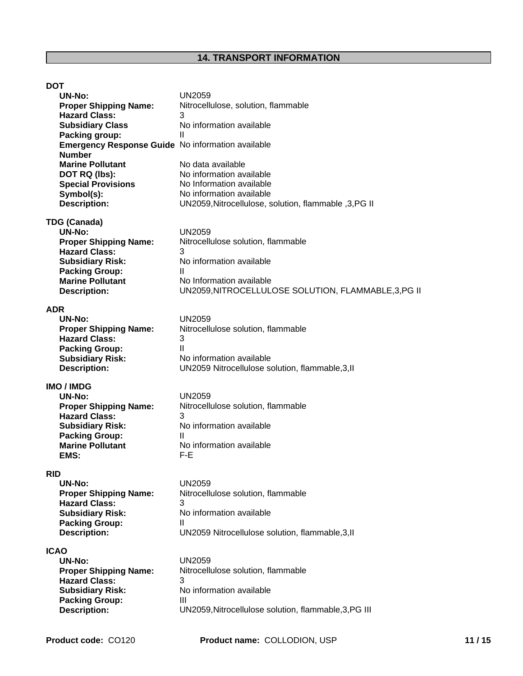| <b>DOT</b>                                        |                                                       |
|---------------------------------------------------|-------------------------------------------------------|
| <b>UN-No:</b>                                     | <b>UN2059</b>                                         |
| <b>Proper Shipping Name:</b>                      | Nitrocellulose, solution, flammable                   |
| <b>Hazard Class:</b>                              | 3                                                     |
| <b>Subsidiary Class</b>                           | No information available                              |
| Packing group:                                    | Ш                                                     |
| Emergency Response Guide No information available |                                                       |
| <b>Number</b>                                     |                                                       |
| <b>Marine Pollutant</b>                           | No data available                                     |
| DOT RQ (lbs):                                     | No information available                              |
| <b>Special Provisions</b>                         | No Information available                              |
| Symbol(s):                                        | No information available                              |
| <b>Description:</b>                               | UN2059, Nitrocellulose, solution, flammable, 3, PG II |
| <b>TDG (Canada)</b>                               |                                                       |
| <b>UN-No:</b>                                     | <b>UN2059</b>                                         |
| <b>Proper Shipping Name:</b>                      | Nitrocellulose solution, flammable                    |
| <b>Hazard Class:</b>                              | 3                                                     |
| <b>Subsidiary Risk:</b>                           | No information available                              |
| <b>Packing Group:</b>                             | Ш                                                     |
| <b>Marine Pollutant</b>                           | No Information available                              |
| <b>Description:</b>                               | UN2059, NITROCELLULOSE SOLUTION, FLAMMABLE, 3, PG II  |
|                                                   |                                                       |
| <b>ADR</b>                                        |                                                       |
| <b>UN-No:</b>                                     | <b>UN2059</b>                                         |
| <b>Proper Shipping Name:</b>                      | Nitrocellulose solution, flammable<br>3               |
| <b>Hazard Class:</b>                              | Ш                                                     |
| <b>Packing Group:</b>                             | No information available                              |
| <b>Subsidiary Risk:</b><br><b>Description:</b>    | UN2059 Nitrocellulose solution, flammable, 3, II      |
|                                                   |                                                       |
| <b>IMO / IMDG</b>                                 |                                                       |
| <b>UN-No:</b>                                     | <b>UN2059</b>                                         |
| <b>Proper Shipping Name:</b>                      | Nitrocellulose solution, flammable                    |
| <b>Hazard Class:</b>                              | 3                                                     |
| <b>Subsidiary Risk:</b>                           | No information available                              |
| <b>Packing Group:</b>                             | Ш                                                     |
| <b>Marine Pollutant</b>                           | No information available                              |
| EMS:                                              | $F-E$                                                 |
| <b>RID</b>                                        |                                                       |
| <b>UN-No:</b>                                     | <b>UN2059</b>                                         |
| <b>Proper Shipping Name:</b>                      | Nitrocellulose solution, flammable                    |
| <b>Hazard Class:</b>                              | 3                                                     |
| <b>Subsidiary Risk:</b>                           | No information available                              |
| <b>Packing Group:</b>                             | Ш                                                     |
| <b>Description:</b>                               | UN2059 Nitrocellulose solution, flammable, 3, II      |
| <b>ICAO</b>                                       |                                                       |
| <b>UN-No:</b>                                     | <b>UN2059</b>                                         |
| <b>Proper Shipping Name:</b>                      | Nitrocellulose solution, flammable                    |
| <b>Hazard Class:</b>                              | 3                                                     |
| <b>Subsidiary Risk:</b>                           | No information available                              |
| <b>Packing Group:</b>                             | Ш                                                     |
| <b>Description:</b>                               | UN2059, Nitrocellulose solution, flammable, 3, PG III |
|                                                   |                                                       |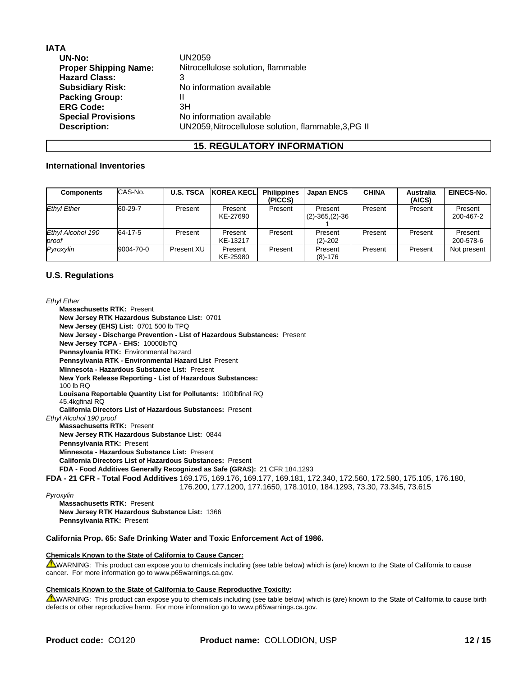| IATA                         |                                                      |
|------------------------------|------------------------------------------------------|
| <b>UN-No:</b>                | UN2059                                               |
| <b>Proper Shipping Name:</b> | Nitrocellulose solution, flammable                   |
| <b>Hazard Class:</b>         | 3                                                    |
| <b>Subsidiary Risk:</b>      | No information available                             |
| <b>Packing Group:</b>        |                                                      |
| <b>ERG Code:</b>             | ЗH                                                   |
| <b>Special Provisions</b>    | No information available                             |
| <b>Description:</b>          | UN2059, Nitrocellulose solution, flammable, 3, PG II |
|                              |                                                      |

#### **15. REGULATORY INFORMATION**

#### **International Inventories**

| <b>Components</b>                                | CAS-No.   | <b>U.S. TSCA</b> | <b>KOREA KECLI</b>  | <b>Philippines</b><br>(PICCS) | <b>Japan ENCS</b>                | <b>CHINA</b> | <b>Australia</b><br>(AICS) | <b>EINECS-No.</b>    |
|--------------------------------------------------|-----------|------------------|---------------------|-------------------------------|----------------------------------|--------------|----------------------------|----------------------|
| <b>Ethyl Ether</b>                               | 60-29-7   | Present          | Present<br>KE-27690 | Present                       | Present<br>$(2) - 365, (2) - 36$ | Present      | Present                    | Present<br>200-467-2 |
| Ethyl Alcohol 190<br><i><u><b>Iproof</b></u></i> | 64-17-5   | Present          | Present<br>KE-13217 | Present                       | Present<br>$(2)-202$             | Present      | Present                    | Present<br>200-578-6 |
| Pyroxvlin                                        | 9004-70-0 | Present XU       | Present<br>KE-25980 | Present                       | Present<br>$(8)-176$             | Present      | Present                    | Not present          |

#### **U.S. Regulations**

#### *Ethyl Ether*

**Massachusetts RTK:** Present **New Jersey RTK Hazardous Substance List:** 0701 **New Jersey (EHS) List:** 0701 500 lb TPQ **New Jersey - Discharge Prevention - List of Hazardous Substances:** Present **New Jersey TCPA - EHS:** 10000lbTQ **Pennsylvania RTK:** Environmental hazard **Pennsylvania RTK - Environmental Hazard List** Present **Minnesota - Hazardous Substance List:** Present **New York Release Reporting - List of Hazardous Substances:** 100 lb RQ **Louisana Reportable Quantity List for Pollutants:** 100lbfinal RQ 45.4kgfinal RQ **California Directors List of Hazardous Substances:** Present *Ethyl Alcohol 190 proof* **Massachusetts RTK:** Present **New Jersey RTK Hazardous Substance List:** 0844 **Pennsylvania RTK:** Present **Minnesota - Hazardous Substance List:** Present **California Directors List of Hazardous Substances:** Present **FDA - Food Additives Generally Recognized as Safe (GRAS):** 21 CFR 184.1293 **FDA - 21 CFR - Total Food Additives** 169.175, 169.176, 169.177, 169.181, 172.340, 172.560, 172.580, 175.105, 176.180, 176.200, 177.1200, 177.1650, 178.1010, 184.1293, 73.30, 73.345, 73.615 *Pyroxylin*

**Massachusetts RTK:** Present **New Jersey RTK Hazardous Substance List:** 1366 **Pennsylvania RTK:** Present

#### **California Prop. 65: Safe Drinking Water and Toxic Enforcement Act of 1986.**

#### **Chemicals Known to the State of California to Cause Cancer:**

WARNING: This product can expose you to chemicals including (see table below) which is (are) known to the State of California to cause cancer. For more information go to www.p65warnings.ca.gov.

#### **Chemicals Known to the State of California to Cause Reproductive Toxicity:**

WARNING: This product can expose you to chemicals including (see table below) which is (are) known to the State of California to cause birth defects or other reproductive harm. For more information go to www.p65warnings.ca.gov.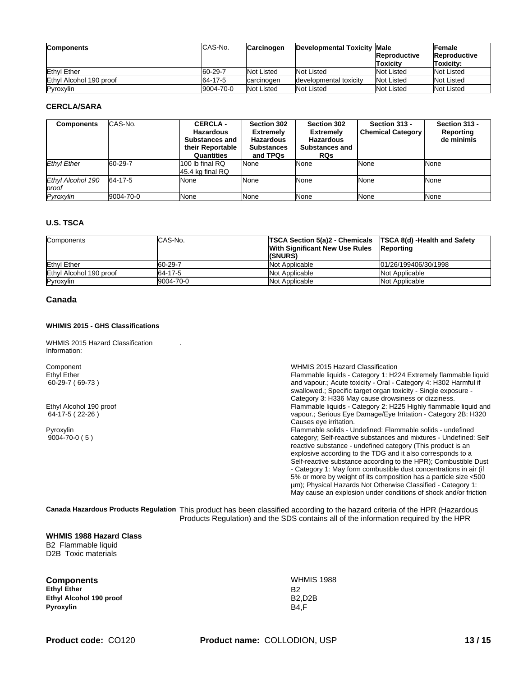| <b>Components</b>       | ICAS-No.  | <b>Carcinogen</b> | Developmental Toxicity Male | <b>Reproductive</b><br>lToxicitv | <b>Female</b><br><b>Reproductive</b><br>Toxicity: |
|-------------------------|-----------|-------------------|-----------------------------|----------------------------------|---------------------------------------------------|
| Ethyl Ether             | 60-29-7   | <b>Not Listed</b> | Not Listed                  | <b>Not Listed</b>                | Not Listed                                        |
| Ethyl Alcohol 190 proof | 64-17-5   | carcinogen        | developmental toxicity      | Not Listed                       | Not Listed                                        |
| Pyroxylin               | 9004-70-0 | Not Listed        | Not Listed                  | Not Listed                       | Not Listed                                        |

#### **CERCLA/SARA**

| <b>Components</b>          | ICAS-No.  | <b>CERCLA-</b><br><b>Hazardous</b><br><b>Substances and</b><br>their Reportable<br>Quantities | Section 302<br><b>Extremely</b><br><b>Hazardous</b><br><b>Substances</b><br>and TPQs | Section 302<br><b>Extremely</b><br><b>Hazardous</b><br><b>Substances and</b><br><b>RQs</b> | Section 313 -<br><b>Chemical Category</b> | Section 313 -<br>Reporting<br>de minimis |
|----------------------------|-----------|-----------------------------------------------------------------------------------------------|--------------------------------------------------------------------------------------|--------------------------------------------------------------------------------------------|-------------------------------------------|------------------------------------------|
| <b>Ethyl Ether</b>         | 60-29-7   | 1100 lb final RQ<br>$45.4$ kg final RQ                                                        | <b>None</b>                                                                          | None                                                                                       | <b>None</b>                               | None                                     |
| Ethyl Alcohol 190<br>proof | 64-17-5   | <b>I</b> None                                                                                 | <b>None</b>                                                                          | None                                                                                       | <b>None</b>                               | None                                     |
| Pyroxylin                  | 9004-70-0 | <b>I</b> None                                                                                 | <b>None</b>                                                                          | None                                                                                       | <b>None</b>                               | None                                     |

#### **U.S. TSCA**

| <b>Components</b>       | <b>CAS-No.</b> | <b>TSCA Section 5(a)2 - Chemicals TSCA 8(d) - Health and Safety</b><br>With Significant New Use Rules<br>(SNURS) | Reporting            |
|-------------------------|----------------|------------------------------------------------------------------------------------------------------------------|----------------------|
| <b>Ethyl Ether</b>      | 60-29-7        | Not Applicable                                                                                                   | 01/26/199406/30/1998 |
| Ethyl Alcohol 190 proof | 64-17-5        | Not Applicable                                                                                                   | Not Applicable       |
| Pyroxylin               | 9004-70-0      | Not Applicable                                                                                                   | Not Applicable       |

#### **Canada**

#### **WHIMIS 2015 - GHS Classifications**

WHMIS 2015 Hazard Classification Information:

Component WHMIS 2015 Hazard Classification Ethyl Ether 60-29-7 ( 69-73 ) Flammable liquids - Category 1: H224 Extremely flammable liquid and vapour.; Acute toxicity - Oral - Category 4: H302 Harmful if swallowed.; Specific target organ toxicity - Single exposure - Category 3: H336 May cause drowsiness or dizziness. Ethyl Alcohol 190 proof 64-17-5 ( 22-26 ) Flammable liquids - Category 2: H225 Highly flammable liquid and vapour.; Serious Eye Damage/Eye Irritation - Category 2B: H320 Causes eye irritation. Pyroxylin 9004-70-0 ( 5 ) Flammable solids - Undefined: Flammable solids - undefined category; Self-reactive substances and mixtures - Undefined: Self reactive substance - undefined category (This product is an explosive according to the TDG and it also corresponds to a Self-reactive substance according to the HPR); Combustible Dust - Category 1: May form combustible dust concentrations in air (if 5% or more by weight of its composition has a particle size <500 µm); Physical Hazards Not Otherwise Classified - Category 1: May cause an explosion under conditions of shock and/or friction

**Canada Hazardous Products Regulation** This product has been classified according to the hazard criteria of the HPR (Hazardous Products Regulation) and the SDS contains all of the information required by the HPR

#### **WHMIS 1988 Hazard Class**

B2 Flammable liquid D2B Toxic materials

| <b>Components</b>       | <b>WHMIS 1988</b> |
|-------------------------|-------------------|
| <b>Ethyl Ether</b>      | B2                |
| Ethyl Alcohol 190 proof | <b>B2.D2B</b>     |
| Pyroxylin               | B4.F              |

.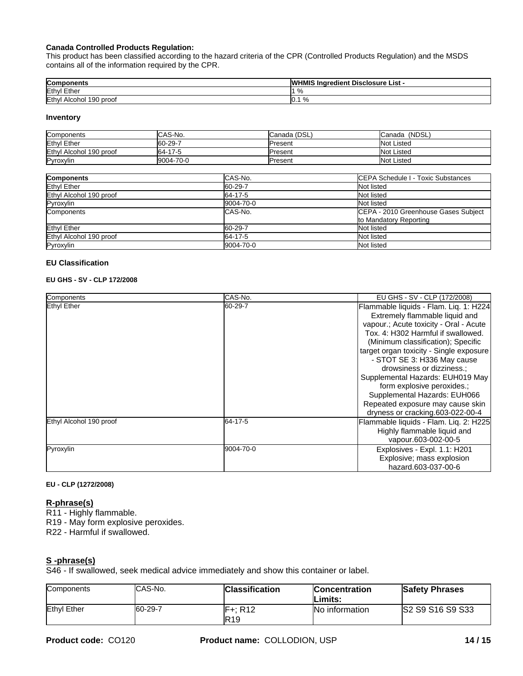#### **Canada Controlled Products Regulation:**

This product has been classified according to the hazard criteria of the CPR (Controlled Products Regulation) and the MSDS contains all of the information required by the CPR.

| Components                      | <b>WHMIS Ingredient Disclosure List -</b> |
|---------------------------------|-------------------------------------------|
| Ethyl Ether                     | $\mathbf{r}$<br>7٥                        |
| Ethyl<br>Alcohol 190<br>) prool | $\%$<br>IV.                               |

#### **Inventory**

| Components              | <b>ICAS-No.</b> | Canada (DSL)    | (NDSL,<br><b>I</b> Canada |
|-------------------------|-----------------|-----------------|---------------------------|
| Ethyl Ether             | $160 - 29 - 7$  | <b>IPresent</b> | Not Listed                |
| Ethyl Alcohol 190 proof | 64-17-5         | <b>IPresent</b> | Not Listed                |
| Pyroxylin               | 9004-70-0       | <b>IPresent</b> | Not Listed                |

| <b>Components</b>       | CAS-No.   | CEPA Schedule I - Toxic Substances                             |
|-------------------------|-----------|----------------------------------------------------------------|
| Ethyl Ether             | 60-29-7   | Not listed                                                     |
| Ethyl Alcohol 190 proof | 64-17-5   | Not listed                                                     |
| Pyroxylin               | 9004-70-0 | Not listed                                                     |
| Components              | CAS-No.   | CEPA - 2010 Greenhouse Gases Subject<br>to Mandatory Reporting |
| Ethyl Ether             | 60-29-7   | Not listed                                                     |
| Ethyl Alcohol 190 proof | 64-17-5   | Not listed                                                     |
| Pyroxylin               | 9004-70-0 | Not listed                                                     |

#### **EU Classification**

#### **EU GHS - SV - CLP 172/2008**

| Components              | CAS-No.   | EU GHS - SV - CLP (172/2008)            |
|-------------------------|-----------|-----------------------------------------|
| Ethyl Ether             | 60-29-7   | Flammable liquids - Flam. Liq. 1: H224  |
|                         |           | Extremely flammable liquid and          |
|                         |           | vapour.; Acute toxicity - Oral - Acute  |
|                         |           | Tox, 4: H302 Harmful if swallowed.      |
|                         |           | (Minimum classification); Specific      |
|                         |           | target organ toxicity - Single exposure |
|                         |           | - STOT SE 3: H336 May cause             |
|                         |           | drowsiness or dizziness.:               |
|                         |           | Supplemental Hazards: EUH019 May        |
|                         |           | form explosive peroxides.;              |
|                         |           | Supplemental Hazards: EUH066            |
|                         |           | Repeated exposure may cause skin        |
|                         |           | dryness or cracking.603-022-00-4        |
| Ethyl Alcohol 190 proof | 64-17-5   | Flammable liquids - Flam. Liq. 2: H225  |
|                         |           | Highly flammable liquid and             |
|                         |           | vapour.603-002-00-5                     |
| Pyroxylin               | 9004-70-0 | Explosives - Expl. 1.1: H201            |
|                         |           | Explosive; mass explosion               |
|                         |           | hazard.603-037-00-6                     |
|                         |           |                                         |

#### **EU - CLP (1272/2008)**

#### **R-phrase(s)**

R11 - Highly flammable.

R19 - May form explosive peroxides.

R22 - Harmful if swallowed.

#### **S -phrase(s)**

S46 - If swallowed, seek medical advice immediately and show this container or label.

| <b>Components</b> | ICAS-No. | <b>Classification</b>                          | <b>Concentration</b><br>Limits: | <b>Safety Phrases</b> |
|-------------------|----------|------------------------------------------------|---------------------------------|-----------------------|
| Ethyl Ether       | 60-29-7  | $\cdot$ D <sub>1</sub> $\circ$<br>IF+<br>או הי | No information                  | S2 S9 S16 S9 S33      |
|                   |          | <b>R19</b>                                     |                                 |                       |